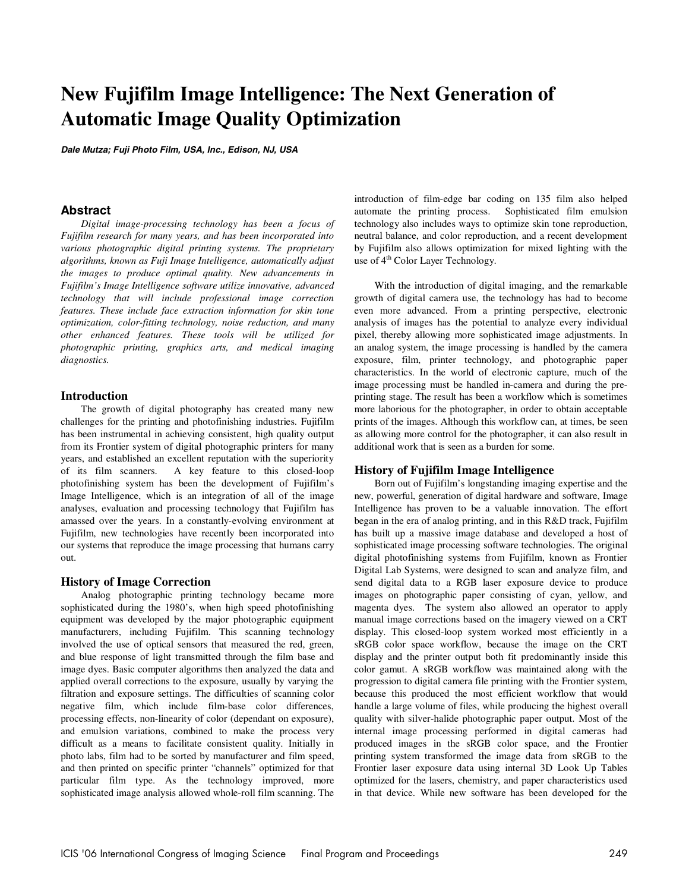# **New Fujifilm Image Intelligence: The Next Generation of Automatic Image Quality Optimization**

**Dale Mutza; Fuji Photo Film, USA, Inc., Edison, NJ, USA** 

## **Abstract**

*Digital image-processing technology has been a focus of Fujifilm research for many years, and has been incorporated into various photographic digital printing systems. The proprietary algorithms, known as Fuji Image Intelligence, automatically adjust the images to produce optimal quality. New advancements in Fujifilm's Image Intelligence software utilize innovative, advanced technology that will include professional image correction features. These include face extraction information for skin tone optimization, color-fitting technology, noise reduction, and many other enhanced features. These tools will be utilized for photographic printing, graphics arts, and medical imaging diagnostics.* 

## **Introduction**

The growth of digital photography has created many new challenges for the printing and photofinishing industries. Fujifilm has been instrumental in achieving consistent, high quality output from its Frontier system of digital photographic printers for many years, and established an excellent reputation with the superiority of its film scanners. A key feature to this closed-loop photofinishing system has been the development of Fujifilm's Image Intelligence, which is an integration of all of the image analyses, evaluation and processing technology that Fujifilm has amassed over the years. In a constantly-evolving environment at Fujifilm, new technologies have recently been incorporated into our systems that reproduce the image processing that humans carry out.

## **History of Image Correction**

Analog photographic printing technology became more sophisticated during the 1980's, when high speed photofinishing equipment was developed by the major photographic equipment manufacturers, including Fujifilm. This scanning technology involved the use of optical sensors that measured the red, green, and blue response of light transmitted through the film base and image dyes. Basic computer algorithms then analyzed the data and applied overall corrections to the exposure, usually by varying the filtration and exposure settings. The difficulties of scanning color negative film, which include film-base color differences, processing effects, non-linearity of color (dependant on exposure), and emulsion variations, combined to make the process very difficult as a means to facilitate consistent quality. Initially in photo labs, film had to be sorted by manufacturer and film speed, and then printed on specific printer "channels" optimized for that particular film type. As the technology improved, more sophisticated image analysis allowed whole-roll film scanning. The introduction of film-edge bar coding on 135 film also helped automate the printing process. Sophisticated film emulsion technology also includes ways to optimize skin tone reproduction, neutral balance, and color reproduction, and a recent development by Fujifilm also allows optimization for mixed lighting with the use of  $4<sup>th</sup>$  Color Layer Technology.

With the introduction of digital imaging, and the remarkable growth of digital camera use, the technology has had to become even more advanced. From a printing perspective, electronic analysis of images has the potential to analyze every individual pixel, thereby allowing more sophisticated image adjustments. In an analog system, the image processing is handled by the camera exposure, film, printer technology, and photographic paper characteristics. In the world of electronic capture, much of the image processing must be handled in-camera and during the preprinting stage. The result has been a workflow which is sometimes more laborious for the photographer, in order to obtain acceptable prints of the images. Although this workflow can, at times, be seen as allowing more control for the photographer, it can also result in additional work that is seen as a burden for some.

## **History of Fujifilm Image Intelligence**

Born out of Fujifilm's longstanding imaging expertise and the new, powerful, generation of digital hardware and software, Image Intelligence has proven to be a valuable innovation. The effort began in the era of analog printing, and in this R&D track, Fujifilm has built up a massive image database and developed a host of sophisticated image processing software technologies. The original digital photofinishing systems from Fujifilm, known as Frontier Digital Lab Systems, were designed to scan and analyze film, and send digital data to a RGB laser exposure device to produce images on photographic paper consisting of cyan, yellow, and magenta dyes. The system also allowed an operator to apply manual image corrections based on the imagery viewed on a CRT display. This closed-loop system worked most efficiently in a sRGB color space workflow, because the image on the CRT display and the printer output both fit predominantly inside this color gamut. A sRGB workflow was maintained along with the progression to digital camera file printing with the Frontier system, because this produced the most efficient workflow that would handle a large volume of files, while producing the highest overall quality with silver-halide photographic paper output. Most of the internal image processing performed in digital cameras had produced images in the sRGB color space, and the Frontier printing system transformed the image data from sRGB to the Frontier laser exposure data using internal 3D Look Up Tables optimized for the lasers, chemistry, and paper characteristics used in that device. While new software has been developed for the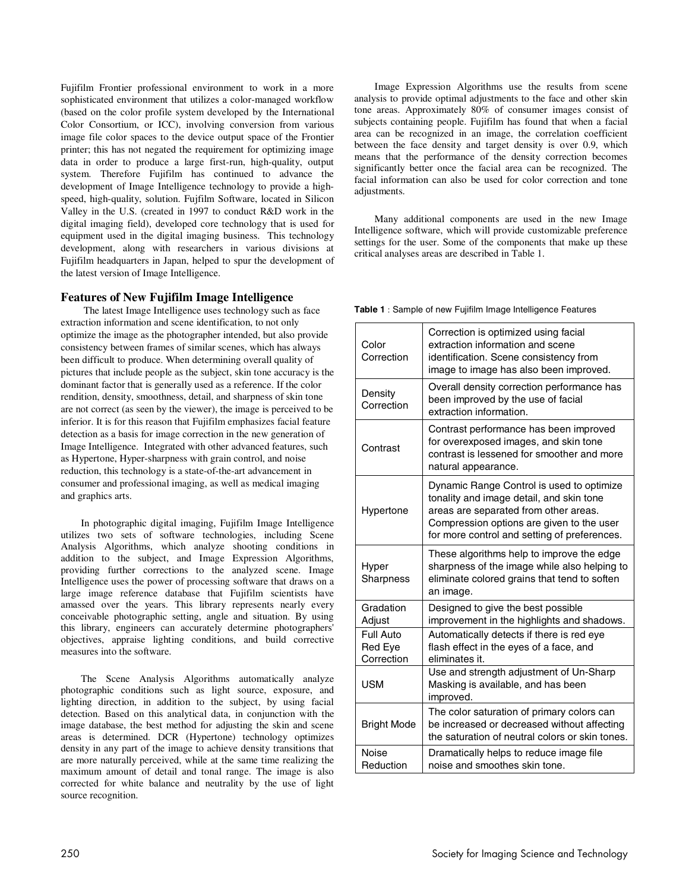Fujifilm Frontier professional environment to work in a more sophisticated environment that utilizes a color-managed workflow (based on the color profile system developed by the International Color Consortium, or ICC), involving conversion from various image file color spaces to the device output space of the Frontier printer; this has not negated the requirement for optimizing image data in order to produce a large first-run, high-quality, output system. Therefore Fujifilm has continued to advance the development of Image Intelligence technology to provide a highspeed, high-quality, solution. Fujfilm Software, located in Silicon Valley in the U.S. (created in 1997 to conduct R&D work in the digital imaging field), developed core technology that is used for equipment used in the digital imaging business. This technology development, along with researchers in various divisions at Fujifilm headquarters in Japan, helped to spur the development of the latest version of Image Intelligence.

## **Features of New Fujifilm Image Intelligence**

 The latest Image Intelligence uses technology such as face extraction information and scene identification, to not only optimize the image as the photographer intended, but also provide consistency between frames of similar scenes, which has always been difficult to produce. When determining overall quality of pictures that include people as the subject, skin tone accuracy is the dominant factor that is generally used as a reference. If the color rendition, density, smoothness, detail, and sharpness of skin tone are not correct (as seen by the viewer), the image is perceived to be inferior. It is for this reason that Fujifilm emphasizes facial feature detection as a basis for image correction in the new generation of Image Intelligence. Integrated with other advanced features, such as Hypertone, Hyper-sharpness with grain control, and noise reduction, this technology is a state-of-the-art advancement in consumer and professional imaging, as well as medical imaging and graphics arts.

In photographic digital imaging, Fujifilm Image Intelligence utilizes two sets of software technologies, including Scene Analysis Algorithms, which analyze shooting conditions in addition to the subject, and Image Expression Algorithms, providing further corrections to the analyzed scene. Image Intelligence uses the power of processing software that draws on a large image reference database that Fujifilm scientists have amassed over the years. This library represents nearly every conceivable photographic setting, angle and situation. By using this library, engineers can accurately determine photographers' objectives, appraise lighting conditions, and build corrective measures into the software.

The Scene Analysis Algorithms automatically analyze photographic conditions such as light source, exposure, and lighting direction, in addition to the subject, by using facial detection. Based on this analytical data, in conjunction with the image database, the best method for adjusting the skin and scene areas is determined. DCR (Hypertone) technology optimizes density in any part of the image to achieve density transitions that are more naturally perceived, while at the same time realizing the maximum amount of detail and tonal range. The image is also corrected for white balance and neutrality by the use of light source recognition.

Image Expression Algorithms use the results from scene analysis to provide optimal adjustments to the face and other skin tone areas. Approximately 80% of consumer images consist of subjects containing people. Fujifilm has found that when a facial area can be recognized in an image, the correlation coefficient between the face density and target density is over 0.9, which means that the performance of the density correction becomes significantly better once the facial area can be recognized. The facial information can also be used for color correction and tone adjustments.

Many additional components are used in the new Image Intelligence software, which will provide customizable preference settings for the user. Some of the components that make up these critical analyses areas are described in Table 1.

**Table 1** : Sample of new Fujifilm Image Intelligence Features

| Color<br>Correction                | Correction is optimized using facial<br>extraction information and scene<br>identification. Scene consistency from<br>image to image has also been improved.                                                                |
|------------------------------------|-----------------------------------------------------------------------------------------------------------------------------------------------------------------------------------------------------------------------------|
| Density<br>Correction              | Overall density correction performance has<br>been improved by the use of facial<br>extraction information.                                                                                                                 |
| Contrast                           | Contrast performance has been improved<br>for overexposed images, and skin tone<br>contrast is lessened for smoother and more<br>natural appearance.                                                                        |
| Hypertone                          | Dynamic Range Control is used to optimize<br>tonality and image detail, and skin tone<br>areas are separated from other areas.<br>Compression options are given to the user<br>for more control and setting of preferences. |
| Hyper<br>Sharpness                 | These algorithms help to improve the edge<br>sharpness of the image while also helping to<br>eliminate colored grains that tend to soften<br>an image.                                                                      |
| Gradation<br>Adjust                | Designed to give the best possible<br>improvement in the highlights and shadows.                                                                                                                                            |
| Full Auto<br>Red Eye<br>Correction | Automatically detects if there is red eye<br>flash effect in the eyes of a face, and<br>eliminates it.                                                                                                                      |
| <b>USM</b>                         | Use and strength adjustment of Un-Sharp<br>Masking is available, and has been<br>improved.                                                                                                                                  |
| <b>Bright Mode</b>                 | The color saturation of primary colors can<br>be increased or decreased without affecting<br>the saturation of neutral colors or skin tones.                                                                                |
| <b>Noise</b><br>Reduction          | Dramatically helps to reduce image file<br>noise and smoothes skin tone.                                                                                                                                                    |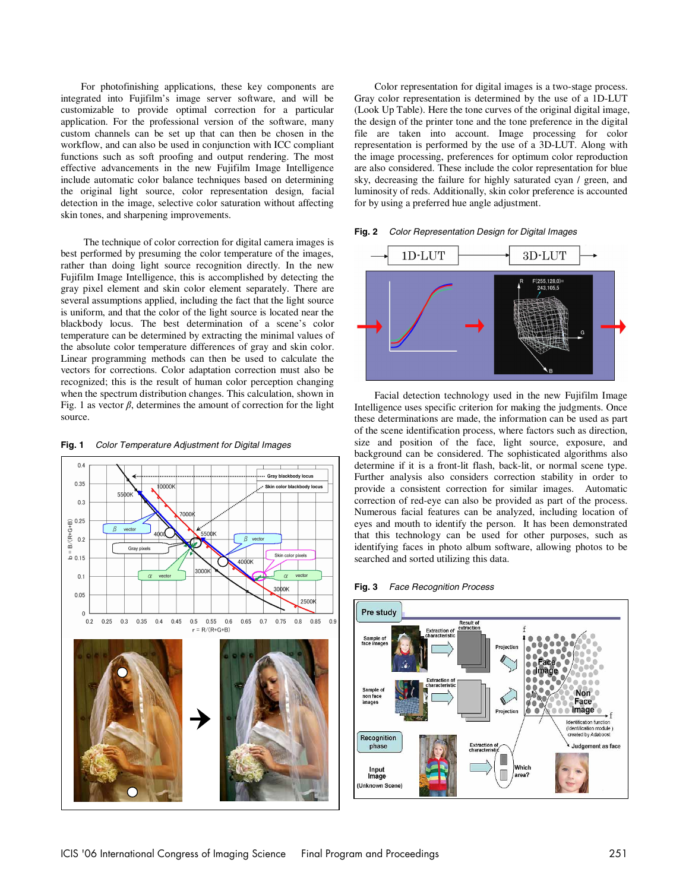For photofinishing applications, these key components are integrated into Fujifilm's image server software, and will be customizable to provide optimal correction for a particular application. For the professional version of the software, many custom channels can be set up that can then be chosen in the workflow, and can also be used in conjunction with ICC compliant functions such as soft proofing and output rendering. The most effective advancements in the new Fujifilm Image Intelligence include automatic color balance techniques based on determining the original light source, color representation design, facial detection in the image, selective color saturation without affecting skin tones, and sharpening improvements.

 The technique of color correction for digital camera images is best performed by presuming the color temperature of the images, rather than doing light source recognition directly. In the new Fujifilm Image Intelligence, this is accomplished by detecting the gray pixel element and skin color element separately. There are several assumptions applied, including the fact that the light source is uniform, and that the color of the light source is located near the blackbody locus. The best determination of a scene's color temperature can be determined by extracting the minimal values of the absolute color temperature differences of gray and skin color. Linear programming methods can then be used to calculate the vectors for corrections. Color adaptation correction must also be recognized; this is the result of human color perception changing when the spectrum distribution changes. This calculation, shown in Fig. 1 as vector  $\beta$ , determines the amount of correction for the light source.

#### **Fig. 1** Color Temperature Adjustment for Digital Images



Color representation for digital images is a two-stage process. Gray color representation is determined by the use of a 1D-LUT (Look Up Table). Here the tone curves of the original digital image, the design of the printer tone and the tone preference in the digital file are taken into account. Image processing for color representation is performed by the use of a 3D-LUT. Along with the image processing, preferences for optimum color reproduction are also considered. These include the color representation for blue sky, decreasing the failure for highly saturated cyan / green, and luminosity of reds. Additionally, skin color preference is accounted for by using a preferred hue angle adjustment.





Facial detection technology used in the new Fujifilm Image Intelligence uses specific criterion for making the judgments. Once these determinations are made, the information can be used as part of the scene identification process, where factors such as direction, size and position of the face, light source, exposure, and background can be considered. The sophisticated algorithms also determine if it is a front-lit flash, back-lit, or normal scene type. Further analysis also considers correction stability in order to provide a consistent correction for similar images. Automatic correction of red-eye can also be provided as part of the process. Numerous facial features can be analyzed, including location of eyes and mouth to identify the person. It has been demonstrated that this technology can be used for other purposes, such as identifying faces in photo album software, allowing photos to be searched and sorted utilizing this data.